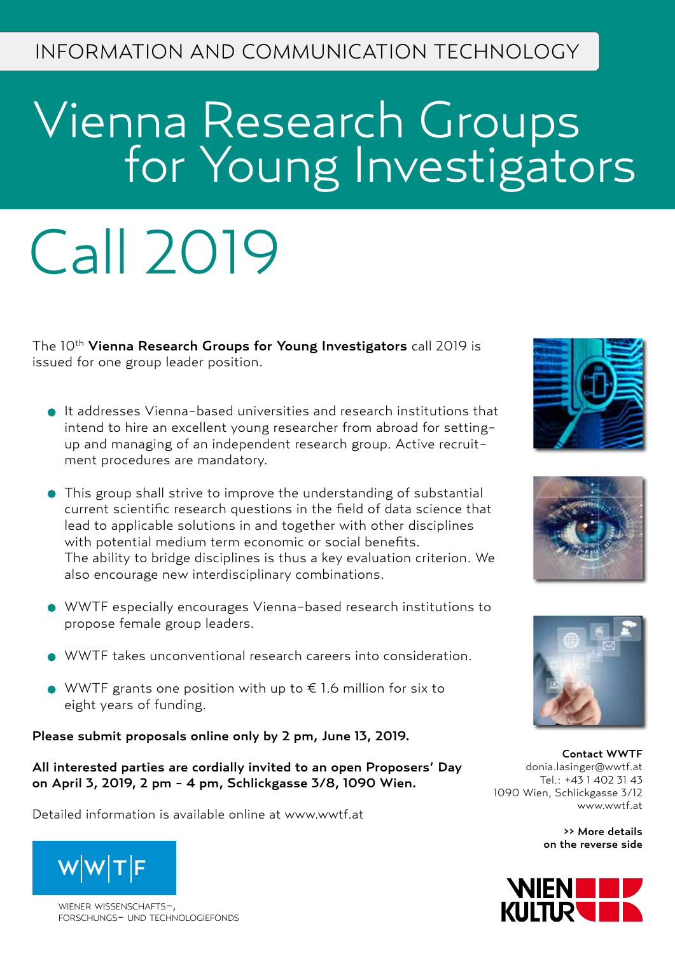# Vienna Research Groups **For Young Investigators**

# Call 2019

The 10<sup>th</sup> Vienna Research Groups for Young Investigators call 2019 is issued for one group leader position.

- It addresses Vienna-based universities and research institutions that intend to hire an excellent young researcher from abroad for settingup and managing of an independent research group. Active recruitment procedures are mandatory.
- This group shall strive to improve the understanding of substantial current scientific research questions in the field of data science that lead to applicable solutions in and together with other disciplines with potential medium term economic or social benefits. The ability to bridge disciplines is thus a key evaluation criterion. We also encourage new interdisciplinary combinations.
- WWTF especially encourages Vienna-based research institutions to propose female group leaders.
- WWTF takes unconventional research careers into consideration.
- WWTF grants one position with up to € 1.6 million for six to eight years of funding.

Please submit proposals online only by 2 pm, June 13, 2019.

All interested parties are cordially invited to an open Proposers' Day on April 3, 2019, 2 pm - 4 pm, Schlickgasse 3/8, 1090 Wien.

Detailed information is available online at www.wwtf.at



wiener wissenschafts-, forschungs- und technologiefonds







Contact WWTF donia.lasinger@wwtf.at Tel.: +43 1 402 31 43 1090 Wien, Schlickgasse 3/12 www.wwtf.at

>> More details on the reverse side